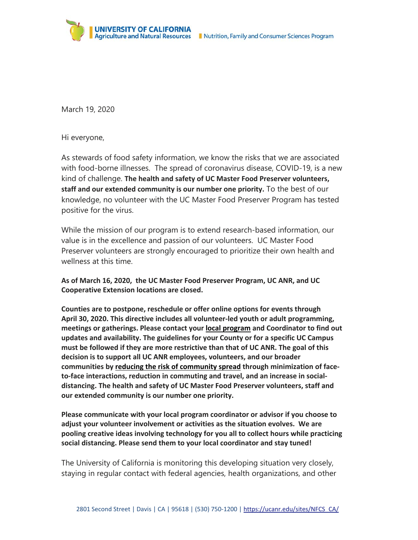

March 19, 2020

Hi everyone,

As stewards of food safety information, we know the risks that we are associated with food-borne illnesses. The spread of coronavirus disease, COVID-19, is a new kind of challenge. **The health and safety of UC Master Food Preserver volunteers, staff and our extended community is our number one priority.** To the best of our knowledge, no volunteer with the UC Master Food Preserver Program has tested positive for the virus.

While the mission of our program is to extend research-based information, our value is in the excellence and passion of our volunteers. UC Master Food Preserver volunteers are strongly encouraged to prioritize their own health and wellness at this time.

**As of March 16, 2020, the UC Master Food Preserver Program, UC ANR, and UC Cooperative Extension locations are closed.**

**Counties are to postpone, reschedule or offer online options for events through April 30, 2020. This directive includes all volunteer‐led youth or adult programming, meetings or gatherings. Please contact your local program and Coordinator to find out updates and availability. The guidelines for your County or for a specific UC Campus must be followed if they are more restrictive than that of UC ANR. The goal of this decision is to support all UC ANR employees, volunteers, and our broader communities by reducing the risk of community spread through minimization of face‐ to‐face interactions, reduction in commuting and travel, and an increase in social‐ distancing. The health and safety of UC Master Food Preserver volunteers, staff and our extended community is our number one priority.** 

**Please communicate with your local program coordinator or advisor if you choose to adjust your volunteer involvement or activities as the situation evolves. We are pooling creative ideas involving technology for you all to collect hours while practicing social distancing. Please send them to your local coordinator and stay tuned!**

The University of California is monitoring this developing situation very closely, staying in regular contact with federal agencies, health organizations, and other